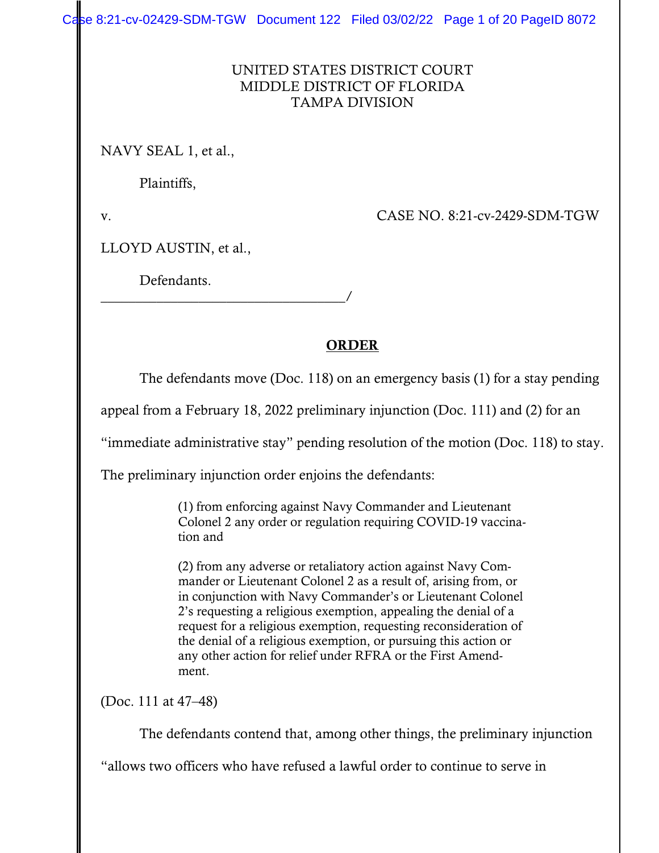Case 8:21-cv-02429-SDM-TGW Document 122 Filed 03/02/22 Page 1 of 20 PageID 8072

#### UNITED STATES DISTRICT COURT MIDDLE DISTRICT OF FLORIDA TAMPA DIVISION

NAVY SEAL 1, et al.,

Plaintiffs,

v. CASE NO. 8:21-cv-2429-SDM-TGW

LLOYD AUSTIN, et al.,

Defendants.

\_\_\_\_\_\_\_\_\_\_\_\_\_\_\_\_\_\_\_\_\_\_\_\_\_\_\_\_\_\_\_\_\_\_\_/

## ORDER

The defendants move (Doc. 118) on an emergency basis (1) for a stay pending

appeal from a February 18, 2022 preliminary injunction (Doc. 111) and (2) for an

"immediate administrative stay" pending resolution of the motion (Doc. 118) to stay.

The preliminary injunction order enjoins the defendants:

(1) from enforcing against Navy Commander and Lieutenant Colonel 2 any order or regulation requiring COVID-19 vaccination and

(2) from any adverse or retaliatory action against Navy Commander or Lieutenant Colonel 2 as a result of, arising from, or in conjunction with Navy Commander's or Lieutenant Colonel 2's requesting a religious exemption, appealing the denial of a request for a religious exemption, requesting reconsideration of the denial of a religious exemption, or pursuing this action or any other action for relief under RFRA or the First Amendment.

(Doc. 111 at 47–48)

The defendants contend that, among other things, the preliminary injunction

"allows two officers who have refused a lawful order to continue to serve in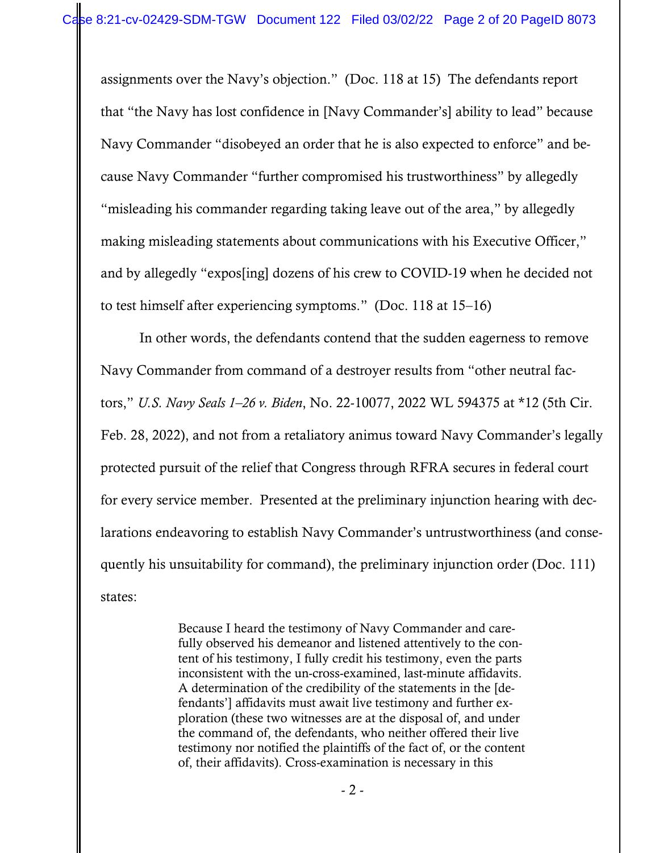assignments over the Navy's objection." (Doc. 118 at 15) The defendants report that "the Navy has lost confidence in [Navy Commander's] ability to lead" because Navy Commander "disobeyed an order that he is also expected to enforce" and because Navy Commander "further compromised his trustworthiness" by allegedly "misleading his commander regarding taking leave out of the area," by allegedly making misleading statements about communications with his Executive Officer," and by allegedly "expos[ing] dozens of his crew to COVID-19 when he decided not to test himself after experiencing symptoms." (Doc. 118 at 15–16)

In other words, the defendants contend that the sudden eagerness to remove Navy Commander from command of a destroyer results from "other neutral factors," *U.S. Navy Seals 1–26 v. Biden*, No. 22-10077, 2022 WL 594375 at \*12 (5th Cir. Feb. 28, 2022), and not from a retaliatory animus toward Navy Commander's legally protected pursuit of the relief that Congress through RFRA secures in federal court for every service member. Presented at the preliminary injunction hearing with declarations endeavoring to establish Navy Commander's untrustworthiness (and consequently his unsuitability for command), the preliminary injunction order (Doc. 111) states:

> Because I heard the testimony of Navy Commander and carefully observed his demeanor and listened attentively to the content of his testimony, I fully credit his testimony, even the parts inconsistent with the un-cross-examined, last-minute affidavits. A determination of the credibility of the statements in the [defendants'] affidavits must await live testimony and further exploration (these two witnesses are at the disposal of, and under the command of, the defendants, who neither offered their live testimony nor notified the plaintiffs of the fact of, or the content of, their affidavits). Cross-examination is necessary in this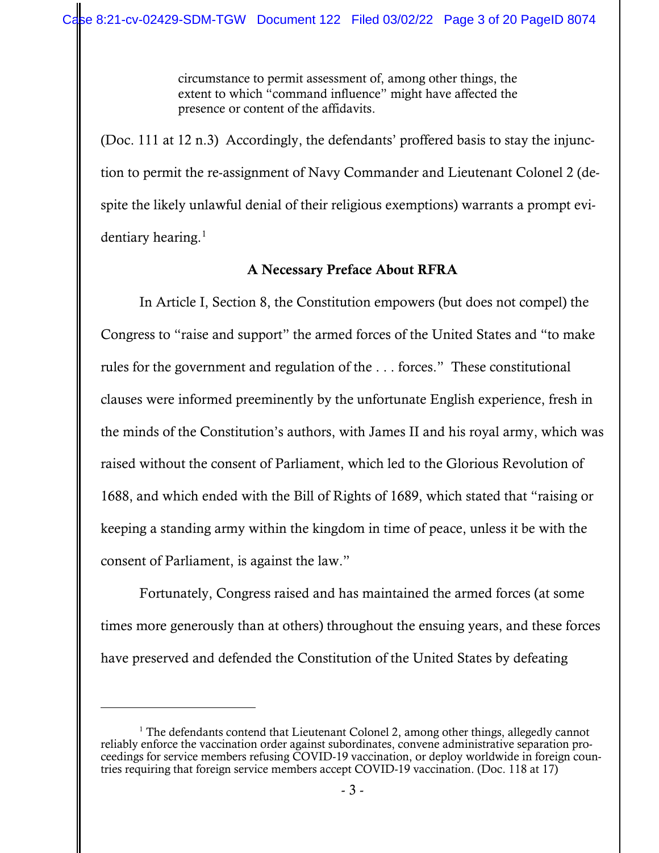circumstance to permit assessment of, among other things, the extent to which "command influence" might have affected the presence or content of the affidavits.

(Doc. 111 at 12 n.3) Accordingly, the defendants' proffered basis to stay the injunction to permit the re-assignment of Navy Commander and Lieutenant Colonel 2 (despite the likely unlawful denial of their religious exemptions) warrants a prompt evidentiary hearing. $<sup>1</sup>$  $<sup>1</sup>$  $<sup>1</sup>$ </sup>

### A Necessary Preface About RFRA

In Article I, Section 8, the Constitution empowers (but does not compel) the Congress to "raise and support" the armed forces of the United States and "to make rules for the government and regulation of the . . . forces." These constitutional clauses were informed preeminently by the unfortunate English experience, fresh in the minds of the Constitution's authors, with James II and his royal army, which was raised without the consent of Parliament, which led to the Glorious Revolution of 1688, and which ended with the Bill of Rights of 1689, which stated that "raising or keeping a standing army within the kingdom in time of peace, unless it be with the consent of Parliament, is against the law."

Fortunately, Congress raised and has maintained the armed forces (at some times more generously than at others) throughout the ensuing years, and these forces have preserved and defended the Constitution of the United States by defeating

<span id="page-2-0"></span><sup>&</sup>lt;sup>1</sup> The defendants contend that Lieutenant Colonel 2, among other things, allegedly cannot reliably enforce the vaccination order against subordinates, convene administrative separation proceedings for service members refusing COVID-19 vaccination, or deploy worldwide in foreign countries requiring that foreign service members accept COVID-19 vaccination. (Doc. 118 at 17)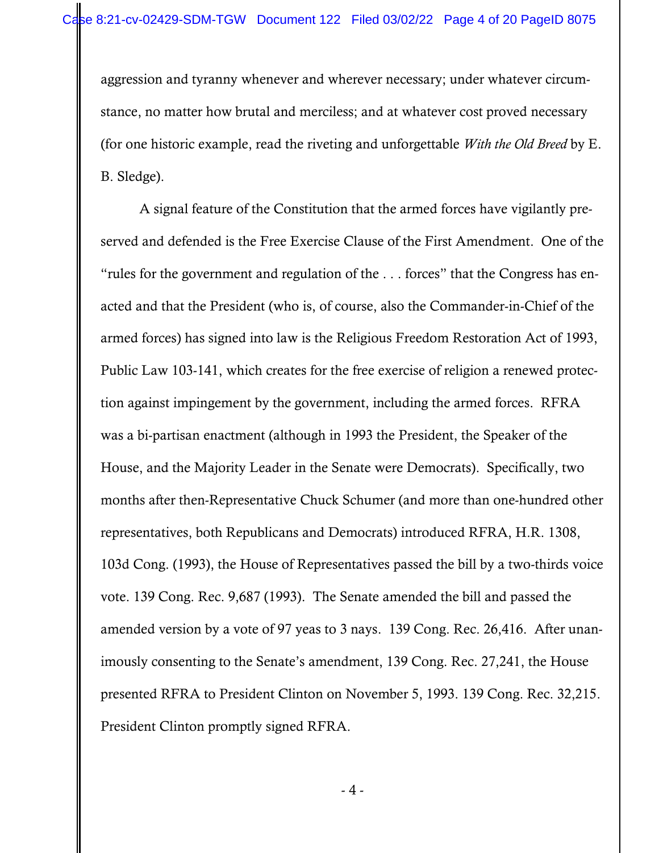aggression and tyranny whenever and wherever necessary; under whatever circumstance, no matter how brutal and merciless; and at whatever cost proved necessary (for one historic example, read the riveting and unforgettable *With the Old Breed* by E. B. Sledge).

A signal feature of the Constitution that the armed forces have vigilantly preserved and defended is the Free Exercise Clause of the First Amendment. One of the "rules for the government and regulation of the . . . forces" that the Congress has enacted and that the President (who is, of course, also the Commander-in-Chief of the armed forces) has signed into law is the Religious Freedom Restoration Act of 1993, Public Law 103-141, which creates for the free exercise of religion a renewed protection against impingement by the government, including the armed forces. RFRA was a bi-partisan enactment (although in 1993 the President, the Speaker of the House, and the Majority Leader in the Senate were Democrats). Specifically, two months after then-Representative Chuck Schumer (and more than one-hundred other representatives, both Republicans and Democrats) introduced RFRA, H.R. 1308, 103d Cong. (1993), the House of Representatives passed the bill by a two-thirds voice vote. 139 Cong. Rec. 9,687 (1993). The Senate amended the bill and passed the amended version by a vote of 97 yeas to 3 nays. 139 Cong. Rec. 26,416. After unanimously consenting to the Senate's amendment, 139 Cong. Rec. 27,241, the House presented RFRA to President Clinton on November 5, 1993. 139 Cong. Rec. 32,215. President Clinton promptly signed RFRA.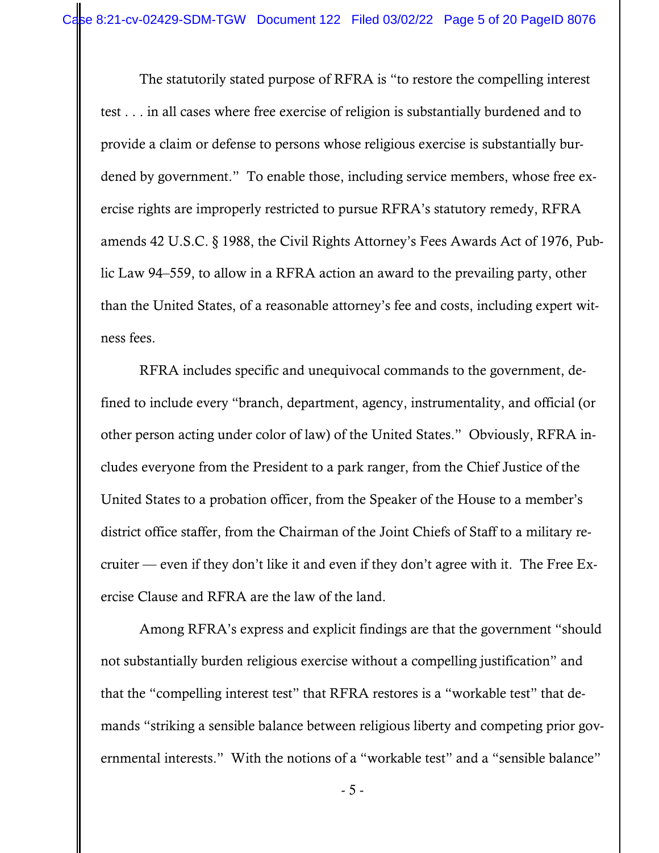The statutorily stated purpose of RFRA is "to restore the compelling interest test . . . in all cases where free exercise of religion is substantially burdened and to provide a claim or defense to persons whose religious exercise is substantially burdened by government." To enable those, including service members, whose free exercise rights are improperly restricted to pursue RFRA's statutory remedy, RFRA amends 42 U.S.C. § 1988, the Civil Rights Attorney's Fees Awards Act of 1976, Public Law 94–559, to allow in a RFRA action an award to the prevailing party, other than the United States, of a reasonable attorney's fee and costs, including expert witness fees.

RFRA includes specific and unequivocal commands to the government, defined to include every "branch, department, agency, instrumentality, and official (or other person acting under color of law) of the United States." Obviously, RFRA includes everyone from the President to a park ranger, from the Chief Justice of the United States to a probation officer, from the Speaker of the House to a member's district office staffer, from the Chairman of the Joint Chiefs of Staff to a military recruiter — even if they don't like it and even if they don't agree with it. The Free Exercise Clause and RFRA are the law of the land.

Among RFRA's express and explicit findings are that the government "should not substantially burden religious exercise without a compelling justification" and that the "compelling interest test" that RFRA restores is a "workable test" that demands "striking a sensible balance between religious liberty and competing prior governmental interests." With the notions of a "workable test" and a "sensible balance"

- 5 -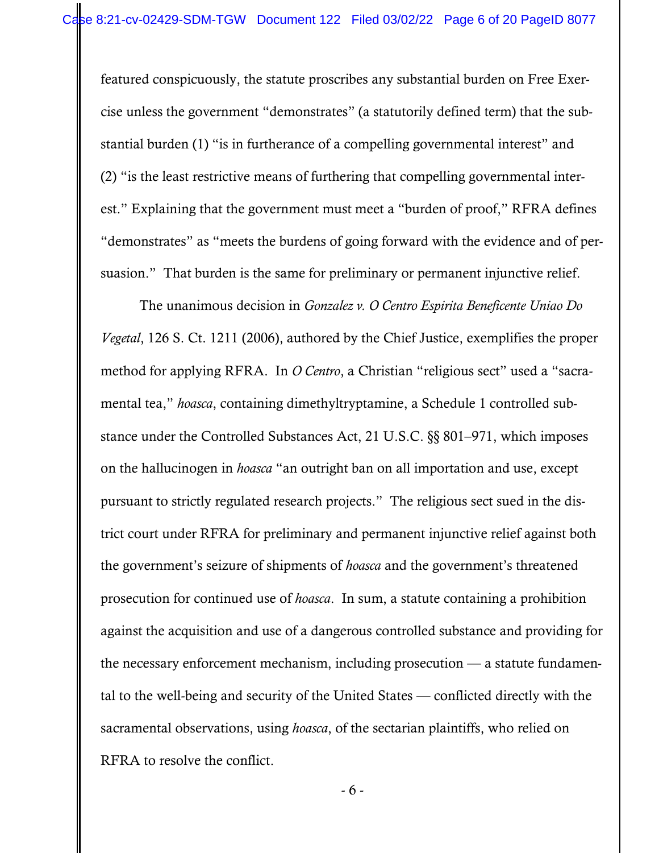featured conspicuously, the statute proscribes any substantial burden on Free Exercise unless the government "demonstrates" (a statutorily defined term) that the substantial burden (1) "is in furtherance of a compelling governmental interest" and (2) "is the least restrictive means of furthering that compelling governmental interest." Explaining that the government must meet a "burden of proof," RFRA defines "demonstrates" as "meets the burdens of going forward with the evidence and of persuasion." That burden is the same for preliminary or permanent injunctive relief.

The unanimous decision in *Gonzalez v. O Centro Espirita Beneficente Uniao Do Vegetal*, 126 S. Ct. 1211 (2006), authored by the Chief Justice, exemplifies the proper method for applying RFRA. In *O Centro*, a Christian "religious sect" used a "sacramental tea," *hoasca*, containing dimethyltryptamine, a Schedule 1 controlled substance under the Controlled Substances Act, 21 U.S.C. §§ 801–971, which imposes on the hallucinogen in *hoasca* "an outright ban on all importation and use, except pursuant to strictly regulated research projects." The religious sect sued in the district court under RFRA for preliminary and permanent injunctive relief against both the government's seizure of shipments of *hoasca* and the government's threatened prosecution for continued use of *hoasca*. In sum, a statute containing a prohibition against the acquisition and use of a dangerous controlled substance and providing for the necessary enforcement mechanism, including prosecution — a statute fundamental to the well-being and security of the United States — conflicted directly with the sacramental observations, using *hoasca*, of the sectarian plaintiffs, who relied on RFRA to resolve the conflict.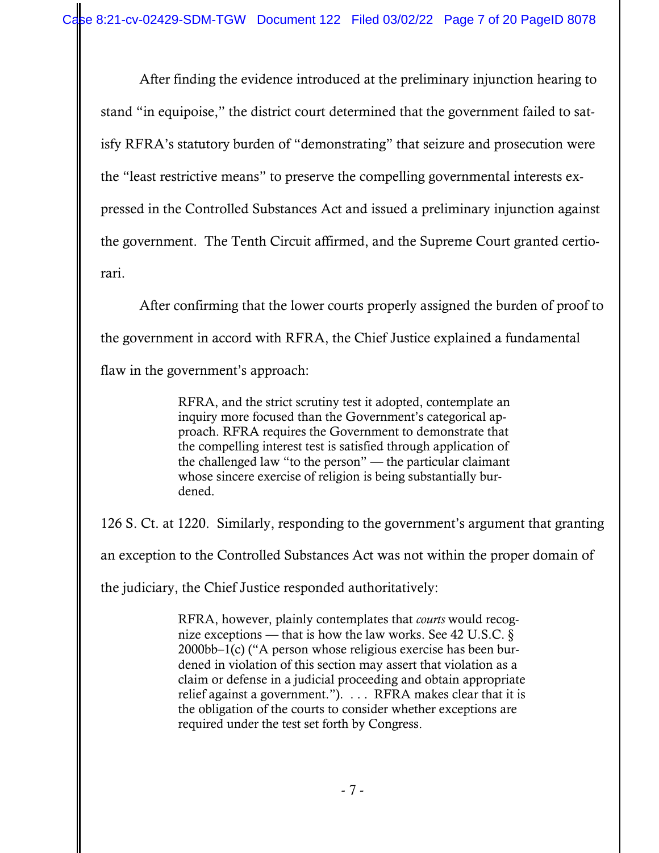After finding the evidence introduced at the preliminary injunction hearing to stand "in equipoise," the district court determined that the government failed to satisfy RFRA's statutory burden of "demonstrating" that seizure and prosecution were the "least restrictive means" to preserve the compelling governmental interests expressed in the Controlled Substances Act and issued a preliminary injunction against the government. The Tenth Circuit affirmed, and the Supreme Court granted certiorari.

After confirming that the lower courts properly assigned the burden of proof to the government in accord with RFRA, the Chief Justice explained a fundamental flaw in the government's approach:

> RFRA, and the strict scrutiny test it adopted, contemplate an inquiry more focused than the Government's categorical approach. RFRA requires the Government to demonstrate that the compelling interest test is satisfied through application of the challenged law "to the person" — the particular claimant whose sincere exercise of religion is being substantially burdened.

126 S. Ct. at 1220. Similarly, responding to the government's argument that granting

an exception to the Controlled Substances Act was not within the proper domain of

the judiciary, the Chief Justice responded authoritatively:

RFRA, however, plainly contemplates that *courts* would recognize exceptions — that is how the law works. See 42 U.S.C.  $\S$ 2000bb–1(c) ("A person whose religious exercise has been burdened in violation of this section may assert that violation as a claim or defense in a judicial proceeding and obtain appropriate relief against a government."). . . . RFRA makes clear that it is the obligation of the courts to consider whether exceptions are required under the test set forth by Congress.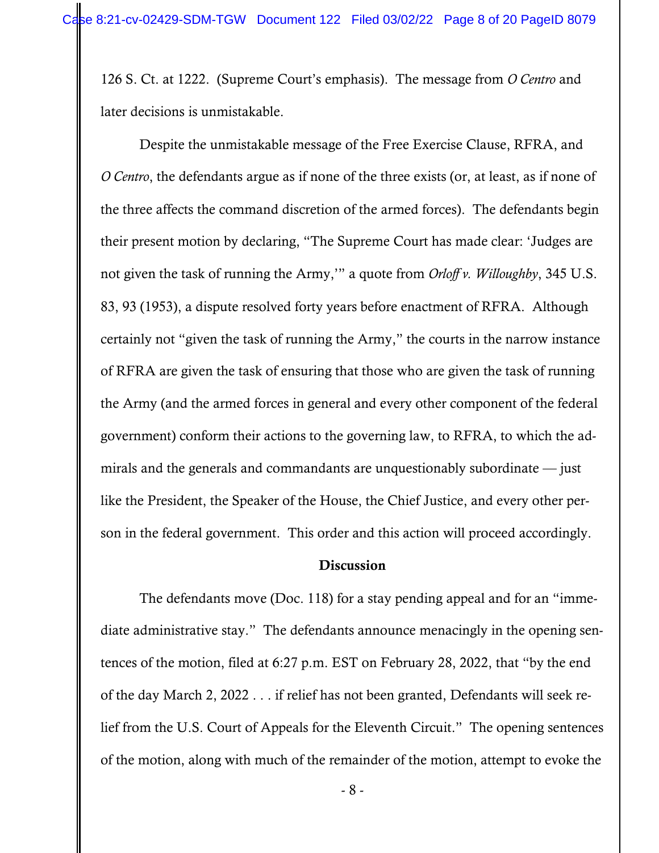126 S. Ct. at 1222. (Supreme Court's emphasis). The message from *O Centro* and later decisions is unmistakable.

Despite the unmistakable message of the Free Exercise Clause, RFRA, and *O Centro*, the defendants argue as if none of the three exists (or, at least, as if none of the three affects the command discretion of the armed forces). The defendants begin their present motion by declaring, "The Supreme Court has made clear: 'Judges are not given the task of running the Army,'" a quote from *Orloff v. Willoughby*, 345 U.S. 83, 93 (1953), a dispute resolved forty years before enactment of RFRA. Although certainly not "given the task of running the Army," the courts in the narrow instance of RFRA are given the task of ensuring that those who are given the task of running the Army (and the armed forces in general and every other component of the federal government) conform their actions to the governing law, to RFRA, to which the admirals and the generals and commandants are unquestionably subordinate — just like the President, the Speaker of the House, the Chief Justice, and every other person in the federal government. This order and this action will proceed accordingly.

#### Discussion

The defendants move (Doc. 118) for a stay pending appeal and for an "immediate administrative stay." The defendants announce menacingly in the opening sentences of the motion, filed at 6:27 p.m. EST on February 28, 2022, that "by the end of the day March 2, 2022 . . . if relief has not been granted, Defendants will seek relief from the U.S. Court of Appeals for the Eleventh Circuit." The opening sentences of the motion, along with much of the remainder of the motion, attempt to evoke the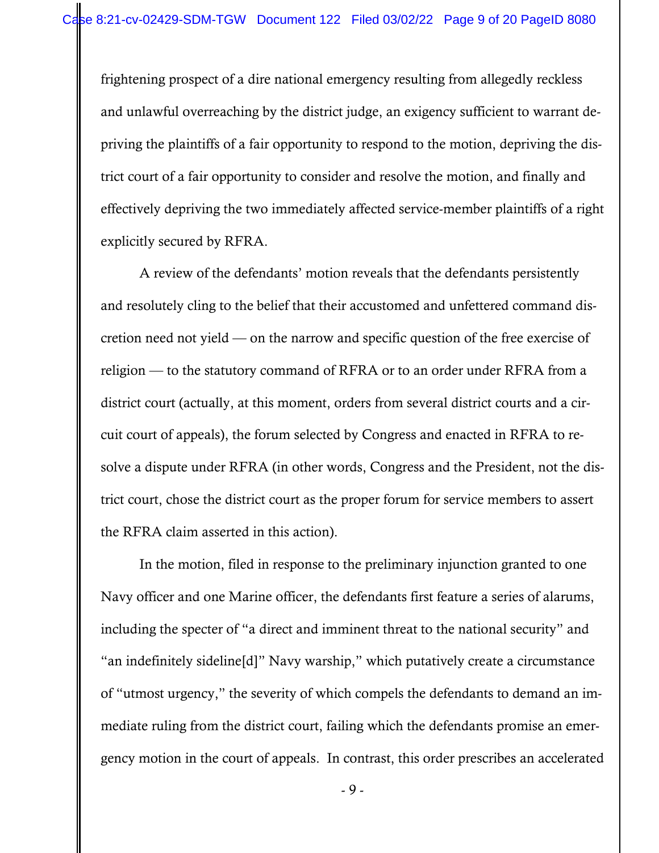frightening prospect of a dire national emergency resulting from allegedly reckless and unlawful overreaching by the district judge, an exigency sufficient to warrant depriving the plaintiffs of a fair opportunity to respond to the motion, depriving the district court of a fair opportunity to consider and resolve the motion, and finally and effectively depriving the two immediately affected service-member plaintiffs of a right explicitly secured by RFRA.

A review of the defendants' motion reveals that the defendants persistently and resolutely cling to the belief that their accustomed and unfettered command discretion need not yield — on the narrow and specific question of the free exercise of religion — to the statutory command of RFRA or to an order under RFRA from a district court (actually, at this moment, orders from several district courts and a circuit court of appeals), the forum selected by Congress and enacted in RFRA to resolve a dispute under RFRA (in other words, Congress and the President, not the district court, chose the district court as the proper forum for service members to assert the RFRA claim asserted in this action).

In the motion, filed in response to the preliminary injunction granted to one Navy officer and one Marine officer, the defendants first feature a series of alarums, including the specter of "a direct and imminent threat to the national security" and "an indefinitely sideline[d]" Navy warship," which putatively create a circumstance of "utmost urgency," the severity of which compels the defendants to demand an immediate ruling from the district court, failing which the defendants promise an emergency motion in the court of appeals. In contrast, this order prescribes an accelerated

- 9 -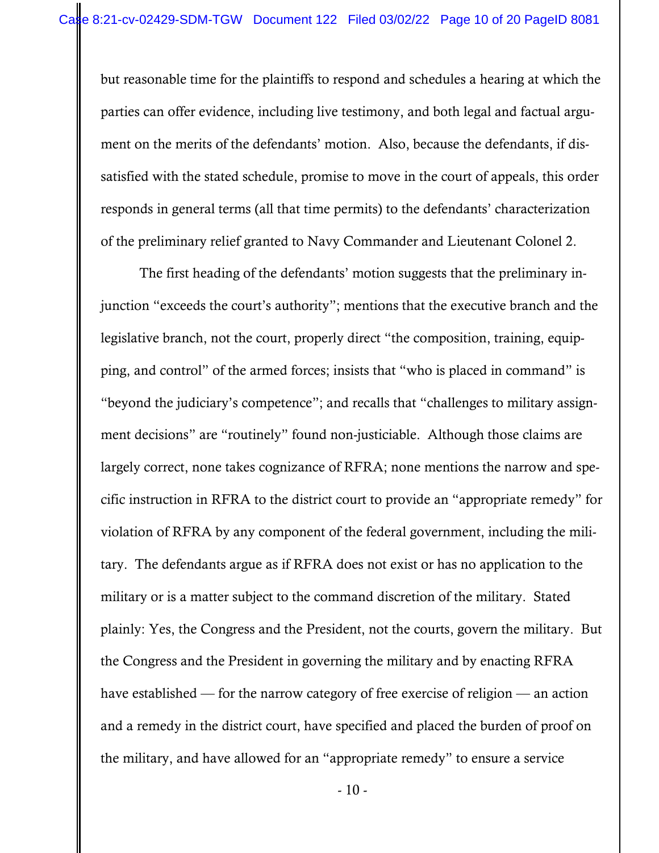but reasonable time for the plaintiffs to respond and schedules a hearing at which the parties can offer evidence, including live testimony, and both legal and factual argument on the merits of the defendants' motion. Also, because the defendants, if dissatisfied with the stated schedule, promise to move in the court of appeals, this order responds in general terms (all that time permits) to the defendants' characterization of the preliminary relief granted to Navy Commander and Lieutenant Colonel 2.

The first heading of the defendants' motion suggests that the preliminary injunction "exceeds the court's authority"; mentions that the executive branch and the legislative branch, not the court, properly direct "the composition, training, equipping, and control" of the armed forces; insists that "who is placed in command" is "beyond the judiciary's competence"; and recalls that "challenges to military assignment decisions" are "routinely" found non-justiciable. Although those claims are largely correct, none takes cognizance of RFRA; none mentions the narrow and specific instruction in RFRA to the district court to provide an "appropriate remedy" for violation of RFRA by any component of the federal government, including the military. The defendants argue as if RFRA does not exist or has no application to the military or is a matter subject to the command discretion of the military. Stated plainly: Yes, the Congress and the President, not the courts, govern the military. But the Congress and the President in governing the military and by enacting RFRA have established — for the narrow category of free exercise of religion — an action and a remedy in the district court, have specified and placed the burden of proof on the military, and have allowed for an "appropriate remedy" to ensure a service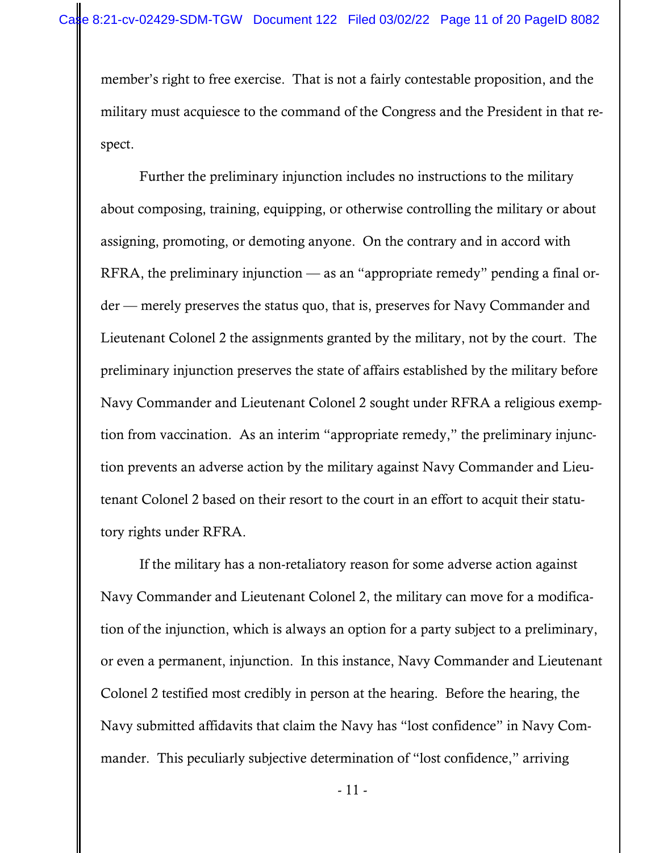member's right to free exercise. That is not a fairly contestable proposition, and the military must acquiesce to the command of the Congress and the President in that respect.

Further the preliminary injunction includes no instructions to the military about composing, training, equipping, or otherwise controlling the military or about assigning, promoting, or demoting anyone. On the contrary and in accord with RFRA, the preliminary injunction — as an "appropriate remedy" pending a final order — merely preserves the status quo, that is, preserves for Navy Commander and Lieutenant Colonel 2 the assignments granted by the military, not by the court. The preliminary injunction preserves the state of affairs established by the military before Navy Commander and Lieutenant Colonel 2 sought under RFRA a religious exemption from vaccination. As an interim "appropriate remedy," the preliminary injunction prevents an adverse action by the military against Navy Commander and Lieutenant Colonel 2 based on their resort to the court in an effort to acquit their statutory rights under RFRA.

If the military has a non-retaliatory reason for some adverse action against Navy Commander and Lieutenant Colonel 2, the military can move for a modification of the injunction, which is always an option for a party subject to a preliminary, or even a permanent, injunction. In this instance, Navy Commander and Lieutenant Colonel 2 testified most credibly in person at the hearing. Before the hearing, the Navy submitted affidavits that claim the Navy has "lost confidence" in Navy Commander. This peculiarly subjective determination of "lost confidence," arriving

- 11 -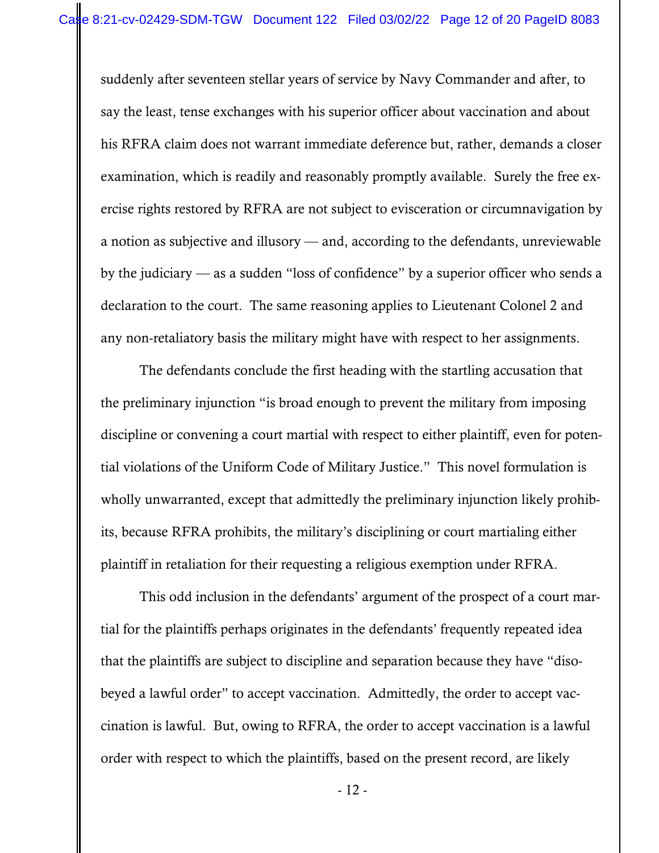suddenly after seventeen stellar years of service by Navy Commander and after, to say the least, tense exchanges with his superior officer about vaccination and about his RFRA claim does not warrant immediate deference but, rather, demands a closer examination, which is readily and reasonably promptly available. Surely the free exercise rights restored by RFRA are not subject to evisceration or circumnavigation by a notion as subjective and illusory — and, according to the defendants, unreviewable by the judiciary — as a sudden "loss of confidence" by a superior officer who sends a declaration to the court. The same reasoning applies to Lieutenant Colonel 2 and any non-retaliatory basis the military might have with respect to her assignments.

The defendants conclude the first heading with the startling accusation that the preliminary injunction "is broad enough to prevent the military from imposing discipline or convening a court martial with respect to either plaintiff, even for potential violations of the Uniform Code of Military Justice." This novel formulation is wholly unwarranted, except that admittedly the preliminary injunction likely prohibits, because RFRA prohibits, the military's disciplining or court martialing either plaintiff in retaliation for their requesting a religious exemption under RFRA.

This odd inclusion in the defendants' argument of the prospect of a court martial for the plaintiffs perhaps originates in the defendants' frequently repeated idea that the plaintiffs are subject to discipline and separation because they have "disobeyed a lawful order" to accept vaccination. Admittedly, the order to accept vaccination is lawful. But, owing to RFRA, the order to accept vaccination is a lawful order with respect to which the plaintiffs, based on the present record, are likely

- 12 -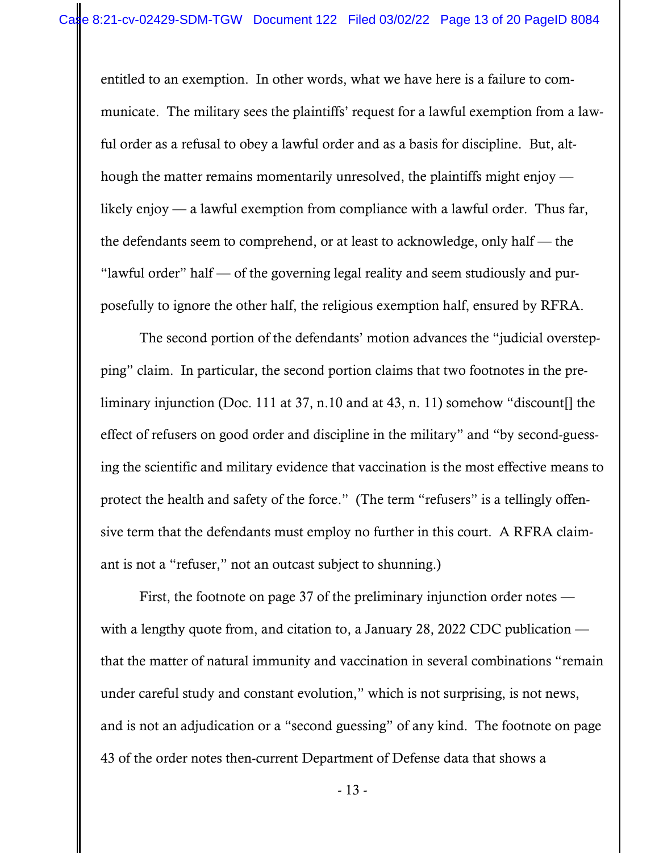entitled to an exemption. In other words, what we have here is a failure to communicate. The military sees the plaintiffs' request for a lawful exemption from a lawful order as a refusal to obey a lawful order and as a basis for discipline. But, although the matter remains momentarily unresolved, the plaintiffs might enjoy  $$ likely enjoy — a lawful exemption from compliance with a lawful order. Thus far, the defendants seem to comprehend, or at least to acknowledge, only half — the "lawful order" half — of the governing legal reality and seem studiously and purposefully to ignore the other half, the religious exemption half, ensured by RFRA.

The second portion of the defendants' motion advances the "judicial overstepping" claim. In particular, the second portion claims that two footnotes in the preliminary injunction (Doc. 111 at 37, n.10 and at 43, n. 11) somehow "discount[] the effect of refusers on good order and discipline in the military" and "by second-guessing the scientific and military evidence that vaccination is the most effective means to protect the health and safety of the force." (The term "refusers" is a tellingly offensive term that the defendants must employ no further in this court. A RFRA claimant is not a "refuser," not an outcast subject to shunning.)

First, the footnote on page 37 of the preliminary injunction order notes with a lengthy quote from, and citation to, a January 28, 2022 CDC publication that the matter of natural immunity and vaccination in several combinations "remain under careful study and constant evolution," which is not surprising, is not news, and is not an adjudication or a "second guessing" of any kind. The footnote on page 43 of the order notes then-current Department of Defense data that shows a

- 13 -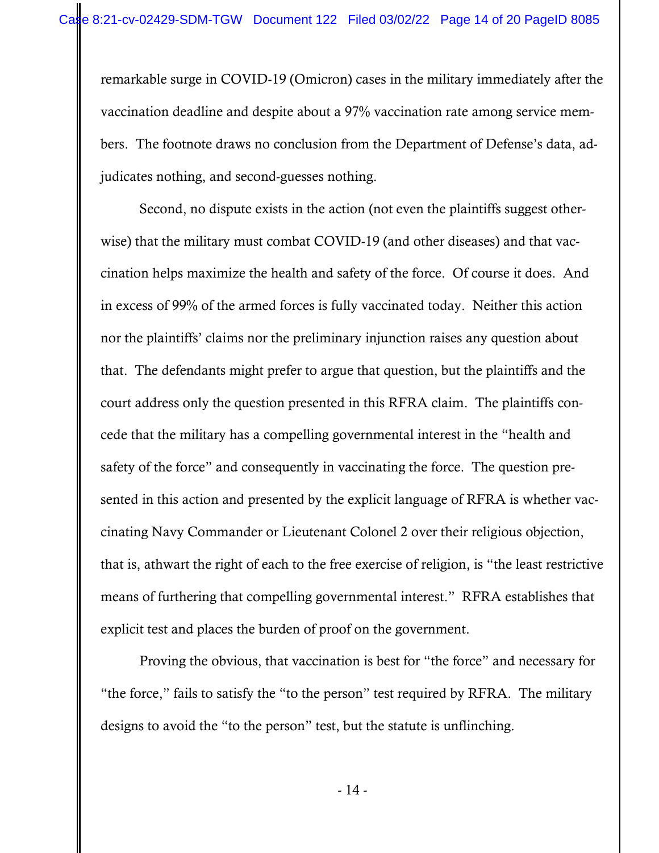remarkable surge in COVID-19 (Omicron) cases in the military immediately after the vaccination deadline and despite about a 97% vaccination rate among service members. The footnote draws no conclusion from the Department of Defense's data, adjudicates nothing, and second-guesses nothing.

Second, no dispute exists in the action (not even the plaintiffs suggest otherwise) that the military must combat COVID-19 (and other diseases) and that vaccination helps maximize the health and safety of the force. Of course it does. And in excess of 99% of the armed forces is fully vaccinated today. Neither this action nor the plaintiffs' claims nor the preliminary injunction raises any question about that. The defendants might prefer to argue that question, but the plaintiffs and the court address only the question presented in this RFRA claim. The plaintiffs concede that the military has a compelling governmental interest in the "health and safety of the force" and consequently in vaccinating the force. The question presented in this action and presented by the explicit language of RFRA is whether vaccinating Navy Commander or Lieutenant Colonel 2 over their religious objection, that is, athwart the right of each to the free exercise of religion, is "the least restrictive means of furthering that compelling governmental interest." RFRA establishes that explicit test and places the burden of proof on the government.

Proving the obvious, that vaccination is best for "the force" and necessary for "the force," fails to satisfy the "to the person" test required by RFRA. The military designs to avoid the "to the person" test, but the statute is unflinching.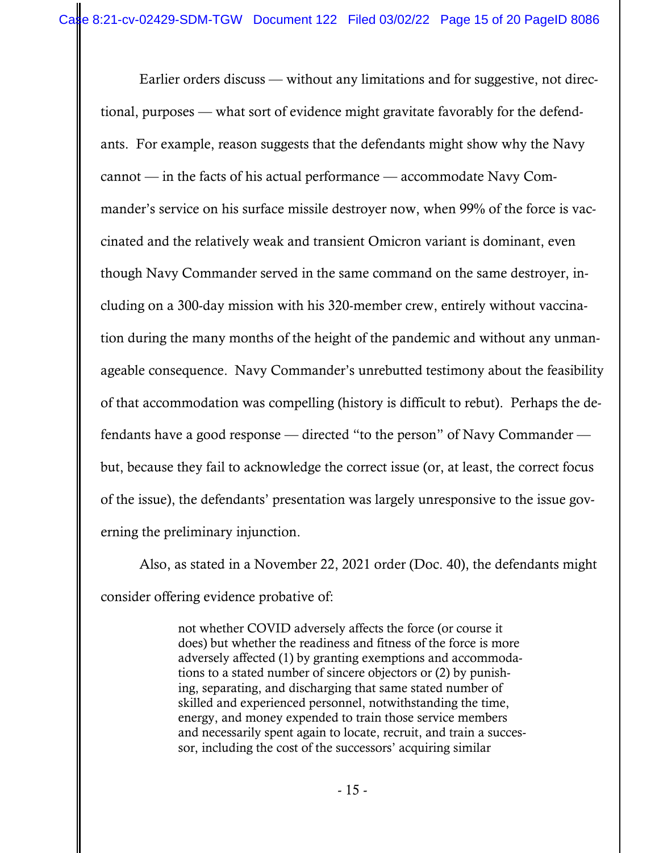Earlier orders discuss — without any limitations and for suggestive, not directional, purposes — what sort of evidence might gravitate favorably for the defendants. For example, reason suggests that the defendants might show why the Navy cannot — in the facts of his actual performance — accommodate Navy Commander's service on his surface missile destroyer now, when 99% of the force is vaccinated and the relatively weak and transient Omicron variant is dominant, even though Navy Commander served in the same command on the same destroyer, including on a 300-day mission with his 320-member crew, entirely without vaccination during the many months of the height of the pandemic and without any unmanageable consequence. Navy Commander's unrebutted testimony about the feasibility of that accommodation was compelling (history is difficult to rebut). Perhaps the defendants have a good response — directed "to the person" of Navy Commander but, because they fail to acknowledge the correct issue (or, at least, the correct focus of the issue), the defendants' presentation was largely unresponsive to the issue governing the preliminary injunction.

Also, as stated in a November 22, 2021 order (Doc. 40), the defendants might consider offering evidence probative of:

> not whether COVID adversely affects the force (or course it does) but whether the readiness and fitness of the force is more adversely affected (1) by granting exemptions and accommodations to a stated number of sincere objectors or (2) by punishing, separating, and discharging that same stated number of skilled and experienced personnel, notwithstanding the time, energy, and money expended to train those service members and necessarily spent again to locate, recruit, and train a successor, including the cost of the successors' acquiring similar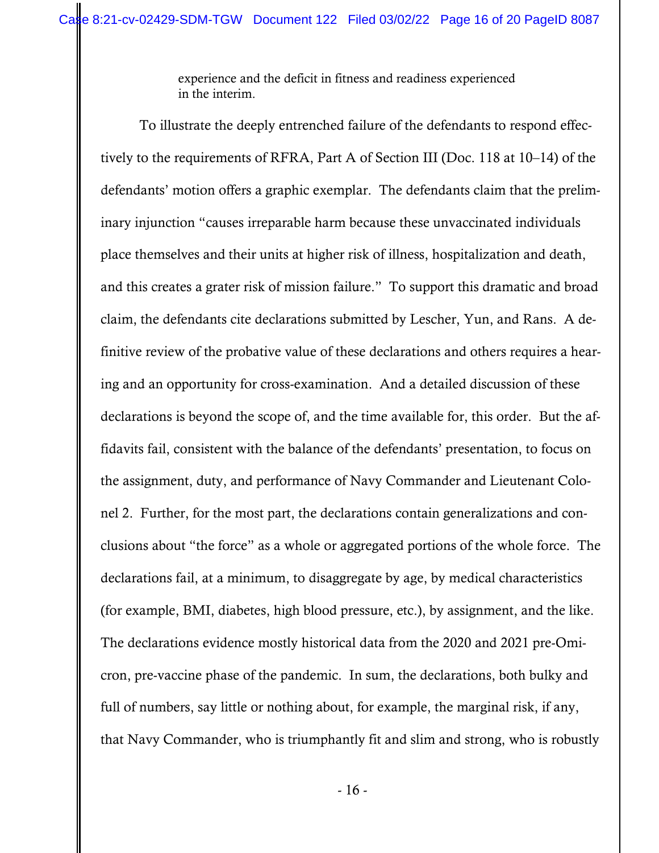experience and the deficit in fitness and readiness experienced in the interim.

To illustrate the deeply entrenched failure of the defendants to respond effectively to the requirements of RFRA, Part A of Section III (Doc. 118 at 10–14) of the defendants' motion offers a graphic exemplar. The defendants claim that the preliminary injunction "causes irreparable harm because these unvaccinated individuals place themselves and their units at higher risk of illness, hospitalization and death, and this creates a grater risk of mission failure." To support this dramatic and broad claim, the defendants cite declarations submitted by Lescher, Yun, and Rans. A definitive review of the probative value of these declarations and others requires a hearing and an opportunity for cross-examination. And a detailed discussion of these declarations is beyond the scope of, and the time available for, this order. But the affidavits fail, consistent with the balance of the defendants' presentation, to focus on the assignment, duty, and performance of Navy Commander and Lieutenant Colonel 2. Further, for the most part, the declarations contain generalizations and conclusions about "the force" as a whole or aggregated portions of the whole force. The declarations fail, at a minimum, to disaggregate by age, by medical characteristics (for example, BMI, diabetes, high blood pressure, etc.), by assignment, and the like. The declarations evidence mostly historical data from the 2020 and 2021 pre-Omicron, pre-vaccine phase of the pandemic. In sum, the declarations, both bulky and full of numbers, say little or nothing about, for example, the marginal risk, if any, that Navy Commander, who is triumphantly fit and slim and strong, who is robustly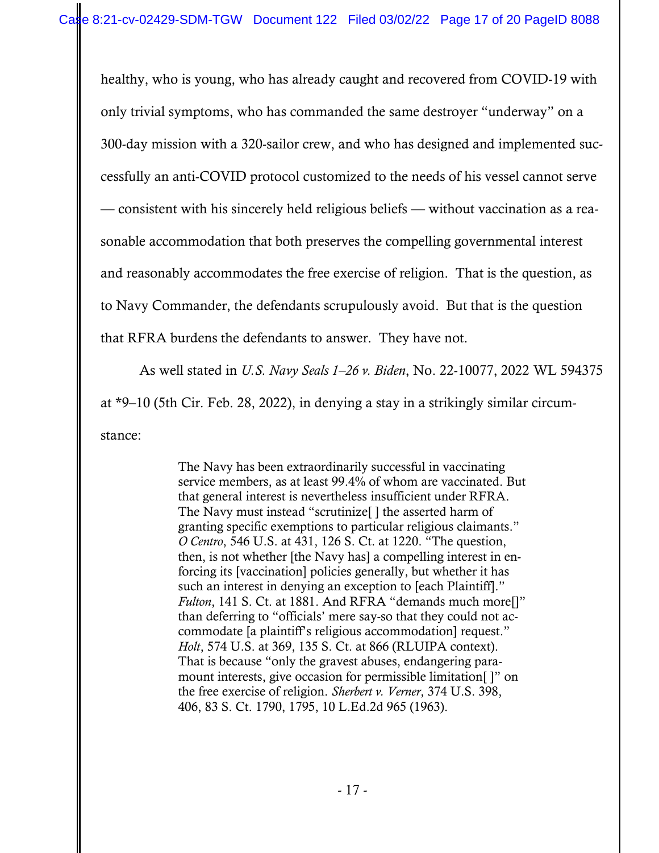healthy, who is young, who has already caught and recovered from COVID-19 with only trivial symptoms, who has commanded the same destroyer "underway" on a 300-day mission with a 320-sailor crew, and who has designed and implemented successfully an anti-COVID protocol customized to the needs of his vessel cannot serve — consistent with his sincerely held religious beliefs — without vaccination as a reasonable accommodation that both preserves the compelling governmental interest and reasonably accommodates the free exercise of religion. That is the question, as to Navy Commander, the defendants scrupulously avoid. But that is the question that RFRA burdens the defendants to answer. They have not.

As well stated in *U.S. Navy Seals 1–26 v. Biden*, No. 22-10077, 2022 WL 594375 at \*9–10 (5th Cir. Feb. 28, 2022), in denying a stay in a strikingly similar circumstance:

> The Navy has been extraordinarily successful in vaccinating service members, as at least 99.4% of whom are vaccinated. But that general interest is nevertheless insufficient under RFRA. The Navy must instead "scrutinize[ ] the asserted harm of granting specific exemptions to particular religious claimants." *O Centro*, 546 U.S. at 431, 126 S. Ct. at 1220. "The question, then, is not whether [the Navy has] a compelling interest in enforcing its [vaccination] policies generally, but whether it has such an interest in denying an exception to [each Plaintiff]." *Fulton*, 141 S. Ct. at 1881. And RFRA "demands much more[]" than deferring to "officials' mere say-so that they could not accommodate [a plaintiff's religious accommodation] request." *Holt*, 574 U.S. at 369, 135 S. Ct. at 866 (RLUIPA context). That is because "only the gravest abuses, endangering paramount interests, give occasion for permissible limitation[ ]" on the free exercise of religion. *Sherbert v. Verner*, 374 U.S. 398, 406, 83 S. Ct. 1790, 1795, 10 L.Ed.2d 965 (1963).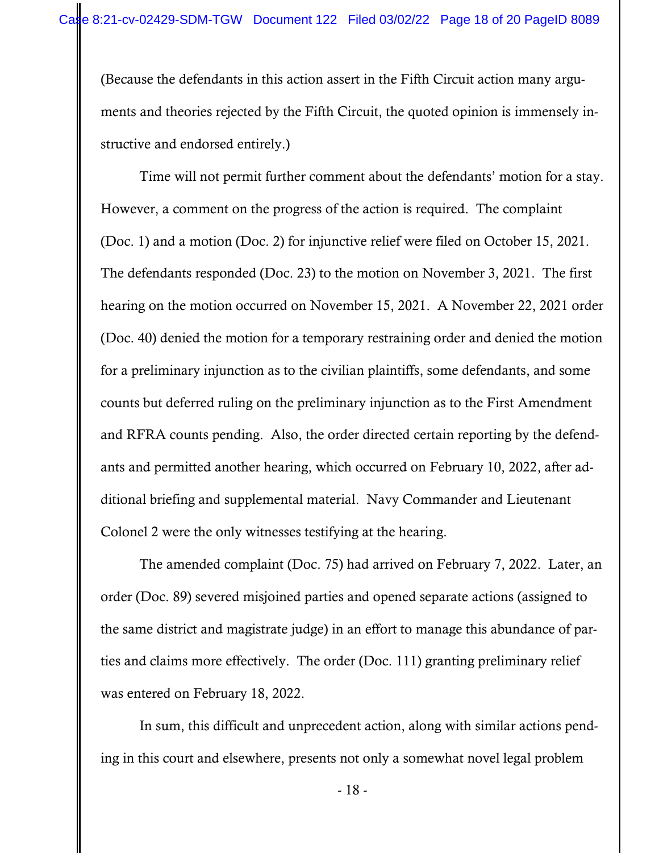(Because the defendants in this action assert in the Fifth Circuit action many arguments and theories rejected by the Fifth Circuit, the quoted opinion is immensely instructive and endorsed entirely.)

Time will not permit further comment about the defendants' motion for a stay. However, a comment on the progress of the action is required. The complaint (Doc. 1) and a motion (Doc. 2) for injunctive relief were filed on October 15, 2021. The defendants responded (Doc. 23) to the motion on November 3, 2021. The first hearing on the motion occurred on November 15, 2021. A November 22, 2021 order (Doc. 40) denied the motion for a temporary restraining order and denied the motion for a preliminary injunction as to the civilian plaintiffs, some defendants, and some counts but deferred ruling on the preliminary injunction as to the First Amendment and RFRA counts pending. Also, the order directed certain reporting by the defendants and permitted another hearing, which occurred on February 10, 2022, after additional briefing and supplemental material. Navy Commander and Lieutenant Colonel 2 were the only witnesses testifying at the hearing.

The amended complaint (Doc. 75) had arrived on February 7, 2022. Later, an order (Doc. 89) severed misjoined parties and opened separate actions (assigned to the same district and magistrate judge) in an effort to manage this abundance of parties and claims more effectively. The order (Doc. 111) granting preliminary relief was entered on February 18, 2022.

In sum, this difficult and unprecedent action, along with similar actions pending in this court and elsewhere, presents not only a somewhat novel legal problem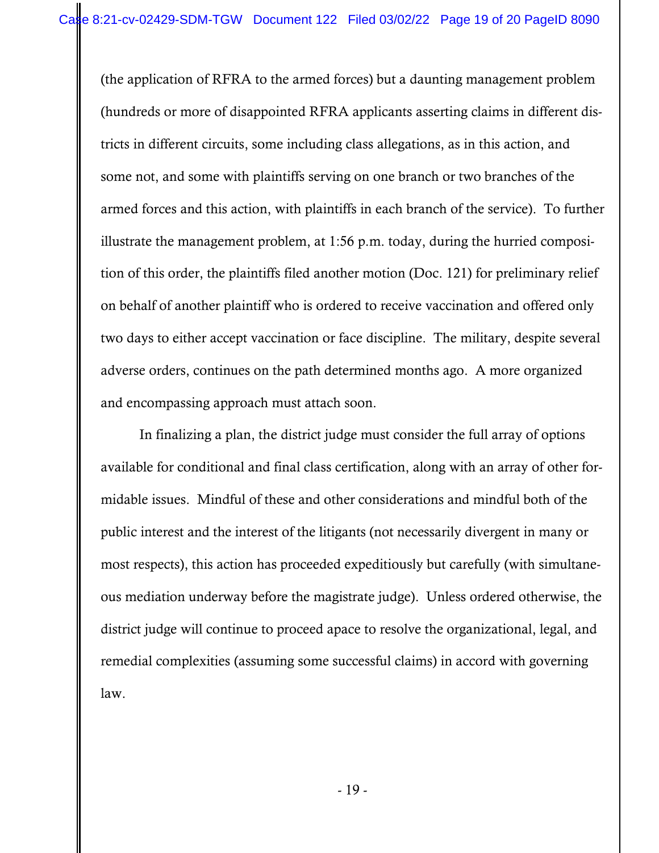(the application of RFRA to the armed forces) but a daunting management problem (hundreds or more of disappointed RFRA applicants asserting claims in different districts in different circuits, some including class allegations, as in this action, and some not, and some with plaintiffs serving on one branch or two branches of the armed forces and this action, with plaintiffs in each branch of the service). To further illustrate the management problem, at 1:56 p.m. today, during the hurried composition of this order, the plaintiffs filed another motion (Doc. 121) for preliminary relief on behalf of another plaintiff who is ordered to receive vaccination and offered only two days to either accept vaccination or face discipline. The military, despite several adverse orders, continues on the path determined months ago. A more organized and encompassing approach must attach soon.

In finalizing a plan, the district judge must consider the full array of options available for conditional and final class certification, along with an array of other formidable issues. Mindful of these and other considerations and mindful both of the public interest and the interest of the litigants (not necessarily divergent in many or most respects), this action has proceeded expeditiously but carefully (with simultaneous mediation underway before the magistrate judge). Unless ordered otherwise, the district judge will continue to proceed apace to resolve the organizational, legal, and remedial complexities (assuming some successful claims) in accord with governing law.